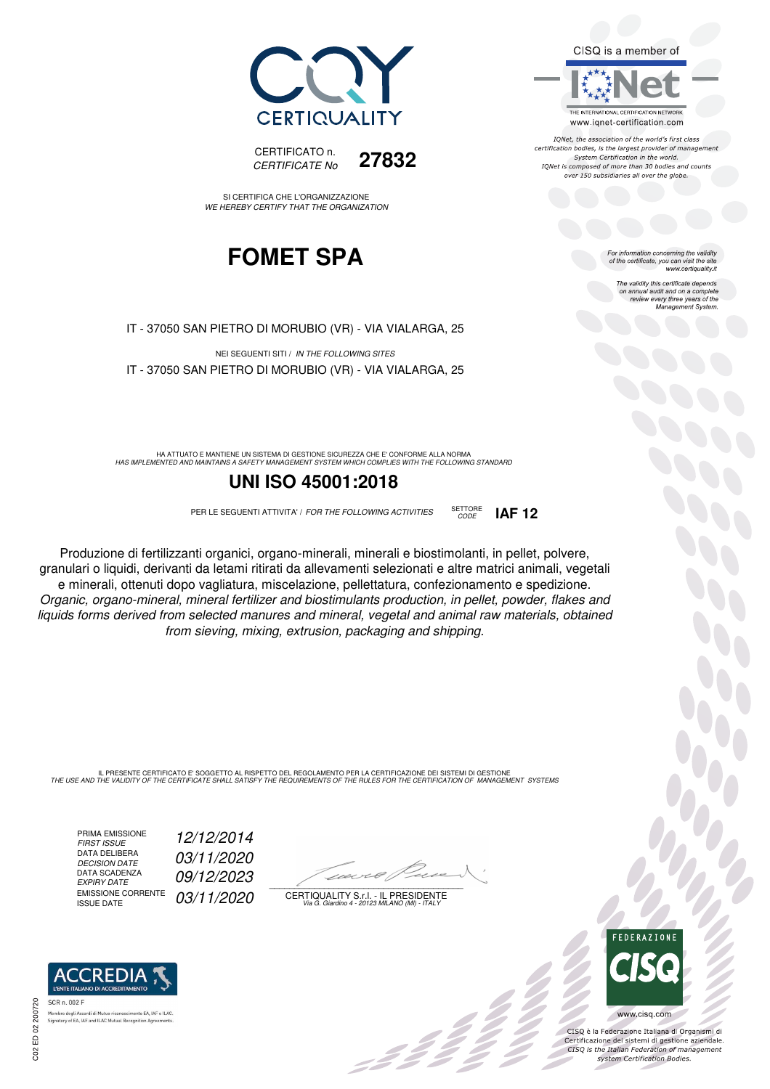



SI CERTIFICA CHE L'ORGANIZZAZIONE WE HEREBY CERTIFY THAT THE ORGANIZATION

## **FOMET SPA**

IT - 37050 SAN PIETRO DI MORUBIO (VR) - VIA VIALARGA, 25

NEI SEGUENTI SITI / IN THE FOLLOWING SITES IT - 37050 SAN PIETRO DI MORUBIO (VR) - VIA VIALARGA, 25

HA ATTUATO E MANTIENE UN SISTEMA DI GESTIONE SICUREZZA CHE E' CONFORME ALLA NORMA<br>HAS IMPLEMENTED AND MAINTAINS A SAFETY MANAGEMENT SYSTEM WHICH COMPLIES WITH THE FOLLOWING STANDARD

#### **UNI ISO 45001:2018**

PER LE SEGUENTI ATTIVITA' / FOR THE FOLLOWING ACTIVITIES SETTORE

Produzione di fertilizzanti organici, organo-minerali, minerali e biostimolanti, in pellet, polvere, granulari o liquidi, derivanti da letami ritirati da allevamenti selezionati e altre matrici animali, vegetali e minerali, ottenuti dopo vagliatura, miscelazione, pellettatura, confezionamento e spedizione. Organic, organo-mineral, mineral fertilizer and biostimulants production, in pellet, powder, flakes and liquids forms derived from selected manures and mineral, vegetal and animal raw materials, obtained from sieving, mixing, extrusion, packaging and shipping.

IL PRESENTE CERTIFICATO E' SOGGETTO AL RISPETTO DEL REGOLAMENTO PER LA CERTIFICAZIONE DEI SISTEMI DI GESTIONE<br>THE USE AND THE VALIDITY OF THE CERTIFICATE SHALL SATISFY THE REQUIREMENTS OF THE RULES FOR THE CERTIFICATION OF

PRIMA EMISSIONE<br>FIRST ISSUE DATA DELIBERA<br>DECISION DATE DATA SCADENZA<br>EXPIRY DATE EMISSIONE CORRENTE<br>ISSUE DATE FIRST ISSUE 12/12/2014 03/11/2020 09/12/2023 03/11/2020

 $\overline{\phantom{a}}$ 

CERTIQUALITY S.r.l. - IL PRESIDENTE Via G. Giardino 4 - 20123 MILANO (MI) - ITALY



 $\frac{1}{2}$ 

www.cisq.com CISQ è la Federazione Italiana di Organismi di Certificazione dei sistemi di gestione aziendale.<br>CISQ is the Italian Federation of management system Certification Bodies.

**REDI** 

SCR n. 002 F .<br>Membro degli Accordi di Mutuo riconoscimento EA, IAF<br>Signatory of EA, IAF and ILAC Mutual Recognition Agre nento EA, IAF e ILAC

: 11

CODE **IAF 12**



The validity this certificate depends on annual audit and on a complete review every three years of the Management System.

CISQ is a member of THE INTERNATIONAL CERTIFICATION NETWORK

www.iqnet-certification.com IONet, the association of the world's first class certification bodies, is the largest provider of management System Certification in the world. IQNet is composed of more than 30 bodies and counts over 150 subsidiaries all over the globe.

C02 ED 02 200720